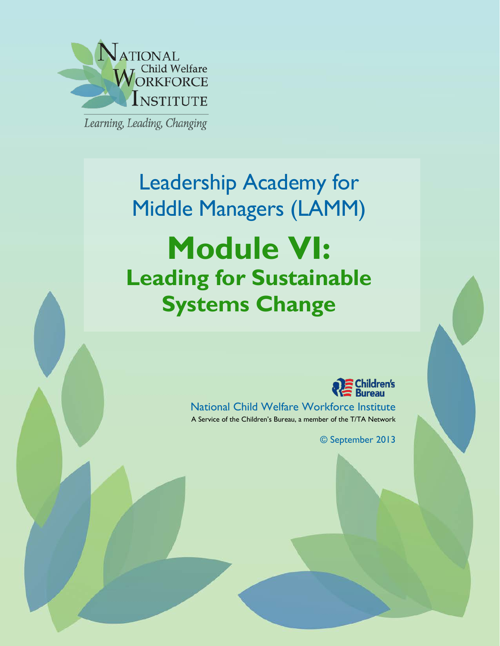

Learning, Leading, Changing

# Leadership Academy for Middle Managers (LAMM) **Module VI: Leading for Sustainable Systems Change**



National Child Welfare Workforce Institute A Service of the Children's Bureau, a member of the T/TA Network

© September 2013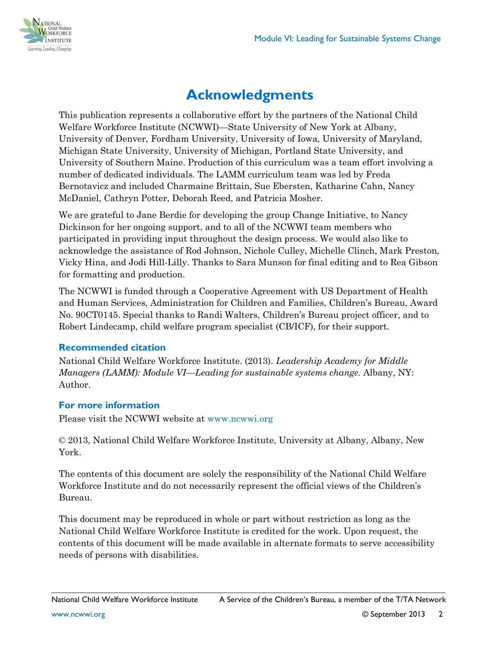

# **Acknowledgments**

This publication represents a collaborative effort by the partners of the National Child Welfare Workforce Institute (NCWWI)—State University of New York at Albany, University of Denver, Fordham University, University of Iowa, University of Maryland, Michigan State University, University of Michigan, Portland State University, and University of Southern Maine. Production of this curriculum was a team effort involving a number of dedicated individuals. The LAMM curriculum team was led by Freda Bernotavicz and included Charmaine Brittain, Sue Ebersten, Katharine Cahn, Nancy McDaniel, Cathryn Potter, Deborah Reed, and Patricia Mosher.

We are grateful to Jane Berdie for developing the group Change Initiative, to Nancy Dickinson for her ongoing support, and to all of the NCWWI team members who participated in providing input throughout the design process. We would also like to acknowledge the assistance of Rod Johnson, Nichole Culley, Michelle Clinch, Mark Preston, Vicky Hina, and Jodi Hill-Lilly. Thanks to Sara Munson for final editing and to Rea Gibson for formatting and production.

The NCWWI is funded through a Cooperative Agreement with US Department of Health and Human Services, Administration for Children and Families, Children's Bureau, Award No. 90CT0145. Special thanks to Randi Walters, Children's Bureau project officer, and to Robert Lindecamp, child welfare program specialist (CB/ICF), for their support.

### **Recommended citation**

National Child Welfare Workforce Institute. (2013). *Leadership Academy for Middle Managers (LAMM): Module VI—Leading for sustainable systems change.* Albany, NY: Author.

### **For more information**

Please visit the NCWWI website at [www.ncwwi.org](http://www.ncwwi.org/)

© 2013, National Child Welfare Workforce Institute, University at Albany, Albany, New York.

The contents of this document are solely the responsibility of the National Child Welfare Workforce Institute and do not necessarily represent the official views of the Children's Bureau.

This document may be reproduced in whole or part without restriction as long as the National Child Welfare Workforce Institute is credited for the work. Upon request, the contents of this document will be made available in alternate formats to serve accessibility needs of persons with disabilities.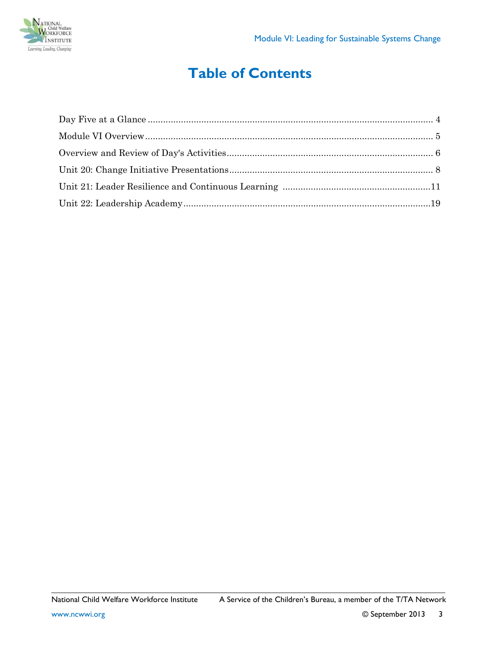

# **Table of Contents**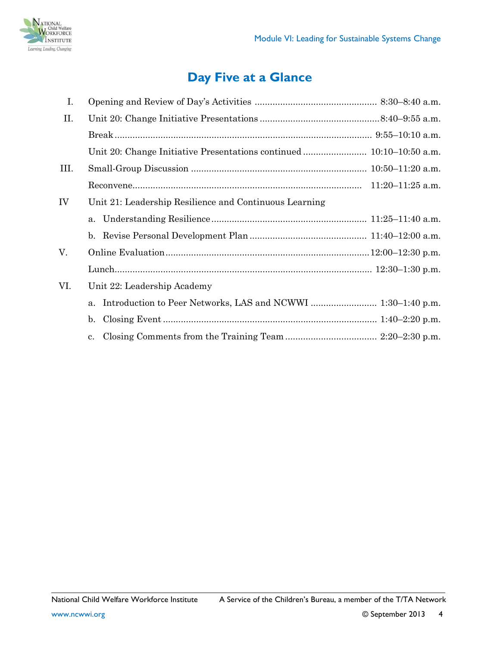

# **Day Five at a Glance**

<span id="page-3-0"></span>

| I.   |                                                        |  |
|------|--------------------------------------------------------|--|
| II.  |                                                        |  |
|      |                                                        |  |
|      |                                                        |  |
| III. |                                                        |  |
|      |                                                        |  |
| IV   | Unit 21: Leadership Resilience and Continuous Learning |  |
|      |                                                        |  |
|      |                                                        |  |
| V.   |                                                        |  |
|      |                                                        |  |
| VI.  | Unit 22: Leadership Academy                            |  |
|      | a.                                                     |  |
|      | $\mathbf{b}$ .                                         |  |
|      | $\mathbf{c}$ .                                         |  |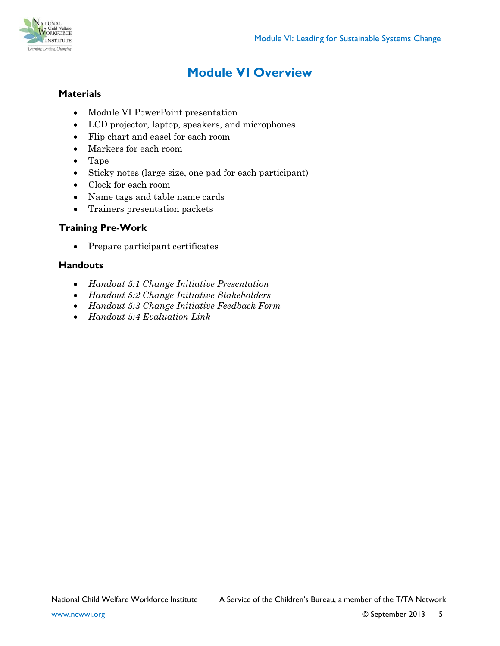

# **Module VI Overview**

### <span id="page-4-0"></span>**Materials**

- Module VI PowerPoint presentation
- LCD projector, laptop, speakers, and microphones
- Flip chart and easel for each room
- Markers for each room
- Tape
- Sticky notes (large size, one pad for each participant)
- Clock for each room
- Name tags and table name cards
- Trainers presentation packets

#### **Training Pre-Work**

• Prepare participant certificates

#### **Handouts**

- *Handout 5:1 Change Initiative Presentation*
- *Handout 5:2 Change Initiative Stakeholders*
- *Handout 5:3 Change Initiative Feedback Form*
- *Handout 5:4 Evaluation Link*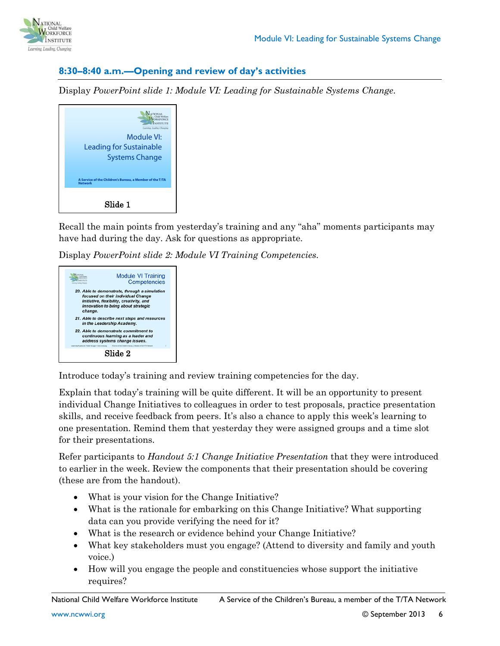

#### <span id="page-5-0"></span>**8:30–8:40 a.m.—Opening and review of day's activities**

Display *PowerPoint slide 1: Module VI: Leading for Sustainable Systems Change*.

| Learning, Leading, Changings<br>Module VI:                                 |  |  |  |
|----------------------------------------------------------------------------|--|--|--|
| Leading for Sustainable<br><b>Systems Change</b>                           |  |  |  |
| A Service of the Children's Bureau, a Member of the T/TA<br><b>Network</b> |  |  |  |
| Slide 1                                                                    |  |  |  |

Recall the main points from yesterday's training and any "aha" moments participants may have had during the day. Ask for questions as appropriate.

Display *PowerPoint slide 2: Module VI Training Competencies*.



Introduce today's training and review training competencies for the day.

Explain that today's training will be quite different. It will be an opportunity to present individual Change Initiatives to colleagues in order to test proposals, practice presentation skills, and receive feedback from peers. It's also a chance to apply this week's learning to one presentation. Remind them that yesterday they were assigned groups and a time slot for their presentations.

Refer participants to *Handout 5:1 Change Initiative Presentation* that they were introduced to earlier in the week. Review the components that their presentation should be covering (these are from the handout).

- What is your vision for the Change Initiative?
- What is the rationale for embarking on this Change Initiative? What supporting data can you provide verifying the need for it?
- What is the research or evidence behind your Change Initiative?
- What key stakeholders must you engage? (Attend to diversity and family and youth voice.)
- How will you engage the people and constituencies whose support the initiative requires?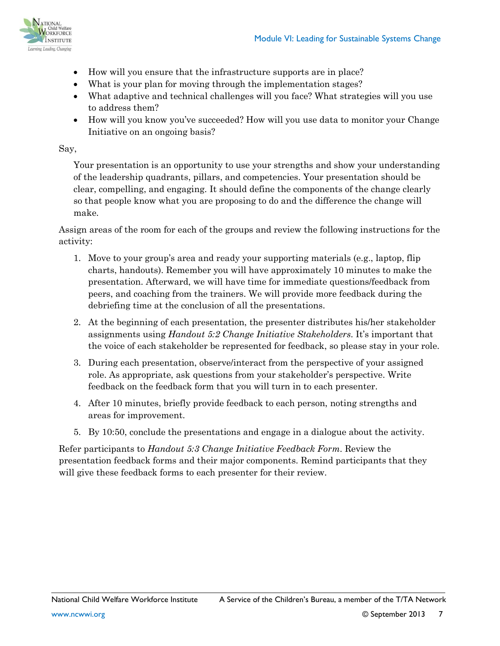

- How will you ensure that the infrastructure supports are in place?
- What is your plan for moving through the implementation stages?
- What adaptive and technical challenges will you face? What strategies will you use to address them?
- How will you know you've succeeded? How will you use data to monitor your Change Initiative on an ongoing basis?

#### Say,

Your presentation is an opportunity to use your strengths and show your understanding of the leadership quadrants, pillars, and competencies. Your presentation should be clear, compelling, and engaging. It should define the components of the change clearly so that people know what you are proposing to do and the difference the change will make.

Assign areas of the room for each of the groups and review the following instructions for the activity:

- 1. Move to your group's area and ready your supporting materials (e.g., laptop, flip charts, handouts). Remember you will have approximately 10 minutes to make the presentation. Afterward, we will have time for immediate questions/feedback from peers, and coaching from the trainers. We will provide more feedback during the debriefing time at the conclusion of all the presentations.
- 2. At the beginning of each presentation, the presenter distributes his/her stakeholder assignments using *Handout 5:2 Change Initiative Stakeholders*. It's important that the voice of each stakeholder be represented for feedback, so please stay in your role.
- 3. During each presentation, observe/interact from the perspective of your assigned role. As appropriate, ask questions from your stakeholder's perspective. Write feedback on the feedback form that you will turn in to each presenter.
- 4. After 10 minutes, briefly provide feedback to each person, noting strengths and areas for improvement.
- 5. By 10:50, conclude the presentations and engage in a dialogue about the activity.

Refer participants to *Handout 5:3 Change Initiative Feedback Form*. Review the presentation feedback forms and their major components. Remind participants that they will give these feedback forms to each presenter for their review.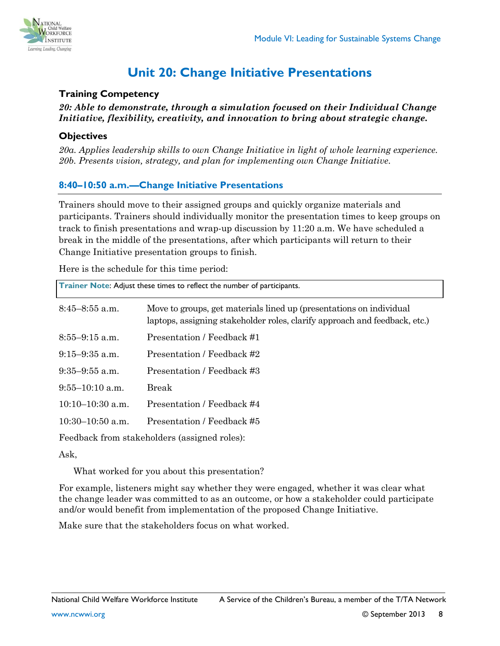

# **Unit 20: Change Initiative Presentations**

#### <span id="page-7-0"></span>**Training Competency**

*20: Able to demonstrate, through a simulation focused on their Individual Change Initiative, flexibility, creativity, and innovation to bring about strategic change.*

#### **Objectives**

*20a. Applies leadership skills to own Change Initiative in light of whole learning experience. 20b. Presents vision, strategy, and plan for implementing own Change Initiative.*

### **8:40–10:50 a.m.—Change Initiative Presentations**

Trainers should move to their assigned groups and quickly organize materials and participants. Trainers should individually monitor the presentation times to keep groups on track to finish presentations and wrap-up discussion by 11:20 a.m. We have scheduled a break in the middle of the presentations, after which participants will return to their Change Initiative presentation groups to finish.

Here is the schedule for this time period:

| Trainer Note: Adjust these times to reflect the number of participants. |                                                                                                                                                   |  |  |
|-------------------------------------------------------------------------|---------------------------------------------------------------------------------------------------------------------------------------------------|--|--|
| $8:45-8:55$ a.m.                                                        | Move to groups, get materials lined up (presentations on individual<br>laptops, assigning stakeholder roles, clarify approach and feedback, etc.) |  |  |
| $8:55-9:15$ a.m.                                                        | Presentation / Feedback #1                                                                                                                        |  |  |
| $9:15-9:35$ a.m.                                                        | Presentation / Feedback #2                                                                                                                        |  |  |
| $9:35-9:55$ a.m.                                                        | Presentation / Feedback #3                                                                                                                        |  |  |
| $9:55-10:10$ a.m.                                                       | Break                                                                                                                                             |  |  |
| $10:10-10:30$ a.m.                                                      | Presentation / Feedback #4                                                                                                                        |  |  |
| $10:30-10:50$ a.m.                                                      | Presentation / Feedback #5                                                                                                                        |  |  |
|                                                                         | Feedback from stakeholders (assigned roles):                                                                                                      |  |  |

Ask,

What worked for you about this presentation?

For example, listeners might say whether they were engaged, whether it was clear what the change leader was committed to as an outcome, or how a stakeholder could participate and/or would benefit from implementation of the proposed Change Initiative.

Make sure that the stakeholders focus on what worked.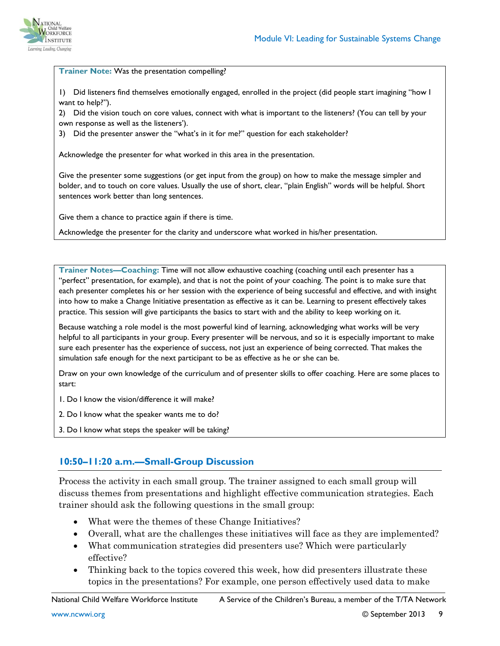

#### **Trainer Note:** Was the presentation compelling?

1) Did listeners find themselves emotionally engaged, enrolled in the project (did people start imagining "how I want to help?").

2) Did the vision touch on core values, connect with what is important to the listeners? (You can tell by your own response as well as the listeners').

3) Did the presenter answer the "what's in it for me?" question for each stakeholder?

Acknowledge the presenter for what worked in this area in the presentation.

Give the presenter some suggestions (or get input from the group) on how to make the message simpler and bolder, and to touch on core values. Usually the use of short, clear, "plain English" words will be helpful. Short sentences work better than long sentences.

Give them a chance to practice again if there is time.

Acknowledge the presenter for the clarity and underscore what worked in his/her presentation.

**Trainer Notes—Coaching:** Time will not allow exhaustive coaching (coaching until each presenter has a "perfect" presentation, for example), and that is not the point of your coaching. The point is to make sure that each presenter completes his or her session with the experience of being successful and effective, and with insight into how to make a Change Initiative presentation as effective as it can be. Learning to present effectively takes practice. This session will give participants the basics to start with and the ability to keep working on it.

Because watching a role model is the most powerful kind of learning, acknowledging what works will be very helpful to all participants in your group. Every presenter will be nervous, and so it is especially important to make sure each presenter has the experience of success, not just an experience of being corrected. That makes the simulation safe enough for the next participant to be as effective as he or she can be.

Draw on your own knowledge of the curriculum and of presenter skills to offer coaching. Here are some places to start:

1. Do I know the vision/difference it will make?

2. Do I know what the speaker wants me to do?

3. Do I know what steps the speaker will be taking?

#### **10:50–11:20 a.m.—Small-Group Discussion**

Process the activity in each small group. The trainer assigned to each small group will discuss themes from presentations and highlight effective communication strategies. Each trainer should ask the following questions in the small group:

- What were the themes of these Change Initiatives?
- Overall, what are the challenges these initiatives will face as they are implemented?
- What communication strategies did presenters use? Which were particularly effective?
- Thinking back to the topics covered this week, how did presenters illustrate these topics in the presentations? For example, one person effectively used data to make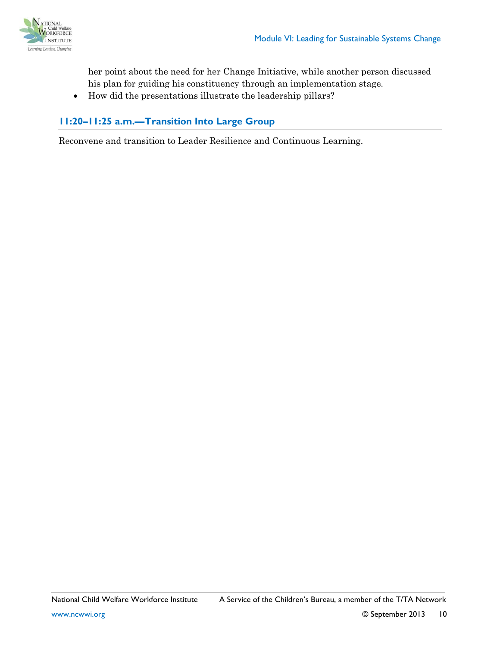

her point about the need for her Change Initiative, while another person discussed his plan for guiding his constituency through an implementation stage.

• How did the presentations illustrate the leadership pillars?

### **11:20–11:25 a.m.—Transition Into Large Group**

Reconvene and transition to Leader Resilience and Continuous Learning.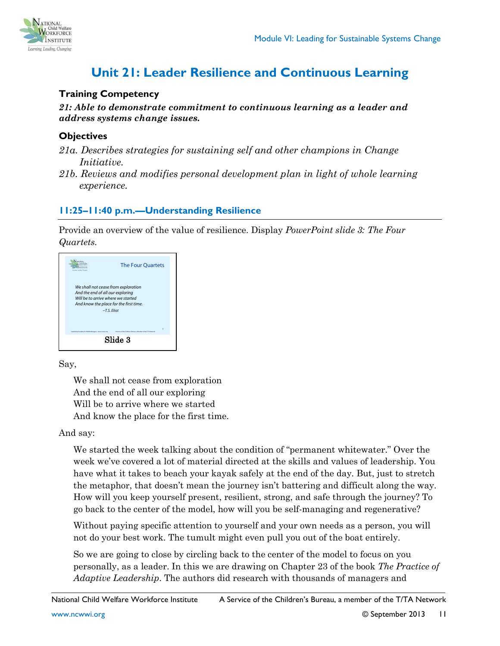

# **Unit 21: Leader Resilience and Continuous Learning**

#### <span id="page-10-0"></span>**Training Competency**

*21: Able to demonstrate commitment to continuous learning as a leader and address systems change issues.* 

#### **Objectives**

- *21a. Describes strategies for sustaining self and other champions in Change Initiative.*
- *21b. Reviews and modifies personal development plan in light of whole learning experience.*

### **11:25–11:40 p.m.—Understanding Resilience**

Provide an overview of the value of resilience. Display *PowerPoint slide 3: The Four Quartets.*

| Lorwing Leading Changing                                | <b>The Four Quartets</b>                                                                                                                 |
|---------------------------------------------------------|------------------------------------------------------------------------------------------------------------------------------------------|
| And the end of all our exploring                        | We shall not cease from exploration<br>Will be to arrive where we started<br>And know the place for the first time.<br>$\sim$ T.S. Fliot |
| Leadership Academy for Middle Managers - www.ncerel.crg | k<br>A Senior of the Children's Bureau, a Member of the T/TA Network                                                                     |
|                                                         | Slide 3                                                                                                                                  |

Say,

We shall not cease from exploration And the end of all our exploring Will be to arrive where we started And know the place for the first time.

#### And say:

We started the week talking about the condition of "permanent whitewater." Over the week we've covered a lot of material directed at the skills and values of leadership. You have what it takes to beach your kayak safely at the end of the day. But, just to stretch the metaphor, that doesn't mean the journey isn't battering and difficult along the way. How will you keep yourself present, resilient, strong, and safe through the journey? To go back to the center of the model, how will you be self-managing and regenerative?

Without paying specific attention to yourself and your own needs as a person, you will not do your best work. The tumult might even pull you out of the boat entirely.

So we are going to close by circling back to the center of the model to focus on you personally, as a leader. In this we are drawing on Chapter 23 of the book *The Practice of Adaptive Leadership*. The authors did research with thousands of managers and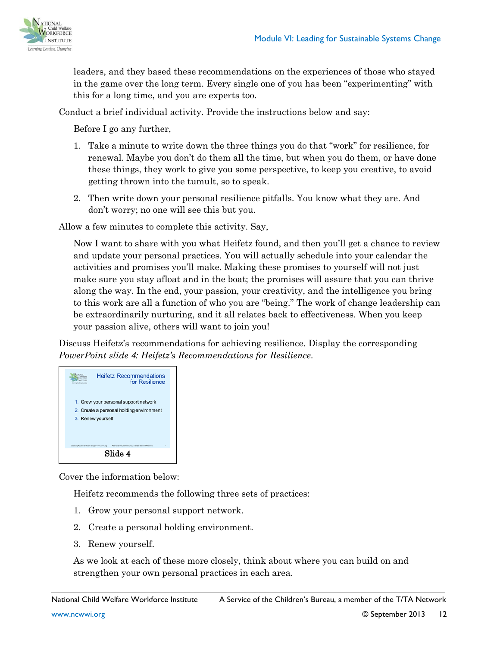

leaders, and they based these recommendations on the experiences of those who stayed in the game over the long term. Every single one of you has been "experimenting" with this for a long time, and you are experts too.

Conduct a brief individual activity. Provide the instructions below and say:

Before I go any further,

- 1. Take a minute to write down the three things you do that "work" for resilience, for renewal. Maybe you don't do them all the time, but when you do them, or have done these things, they work to give you some perspective, to keep you creative, to avoid getting thrown into the tumult, so to speak.
- 2. Then write down your personal resilience pitfalls. You know what they are. And don't worry; no one will see this but you.

Allow a few minutes to complete this activity. Say,

Now I want to share with you what Heifetz found, and then you'll get a chance to review and update your personal practices. You will actually schedule into your calendar the activities and promises you'll make. Making these promises to yourself will not just make sure you stay afloat and in the boat; the promises will assure that you can thrive along the way. In the end, your passion, your creativity, and the intelligence you bring to this work are all a function of who you are "being." The work of change leadership can be extraordinarily nurturing, and it all relates back to effectiveness. When you keep your passion alive, others will want to join you!

Discuss Heifetz's recommendations for achieving resilience. Display the corresponding *PowerPoint slide 4: Heifetz's Recommendations for Resilience*.



Cover the information below:

Heifetz recommends the following three sets of practices:

- 1. Grow your personal support network.
- 2. Create a personal holding environment.
- 3. Renew yourself.

As we look at each of these more closely, think about where you can build on and strengthen your own personal practices in each area.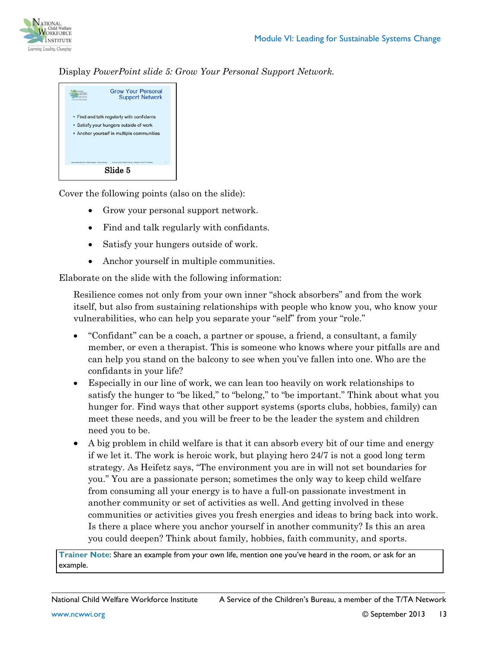

#### Display *PowerPoint slide 5: Grow Your Personal Support Network.*



Cover the following points (also on the slide):

- Grow your personal support network.
- Find and talk regularly with confidants.
- Satisfy your hungers outside of work.
- Anchor yourself in multiple communities.

Elaborate on the slide with the following information:

Resilience comes not only from your own inner "shock absorbers" and from the work itself, but also from sustaining relationships with people who know you, who know your vulnerabilities, who can help you separate your "self" from your "role."

- "Confidant" can be a coach, a partner or spouse, a friend, a consultant, a family member, or even a therapist. This is someone who knows where your pitfalls are and can help you stand on the balcony to see when you've fallen into one. Who are the confidants in your life?
- Especially in our line of work, we can lean too heavily on work relationships to satisfy the hunger to "be liked," to "belong," to "be important." Think about what you hunger for. Find ways that other support systems (sports clubs, hobbies, family) can meet these needs, and you will be freer to be the leader the system and children need you to be.
- A big problem in child welfare is that it can absorb every bit of our time and energy if we let it. The work is heroic work, but playing hero 24/7 is not a good long term strategy. As Heifetz says, "The environment you are in will not set boundaries for you." You are a passionate person; sometimes the only way to keep child welfare from consuming all your energy is to have a full-on passionate investment in another community or set of activities as well. And getting involved in these communities or activities gives you fresh energies and ideas to bring back into work. Is there a place where you anchor yourself in another community? Is this an area you could deepen? Think about family, hobbies, faith community, and sports.

**Trainer Note**: Share an example from your own life, mention one you've heard in the room, or ask for an example.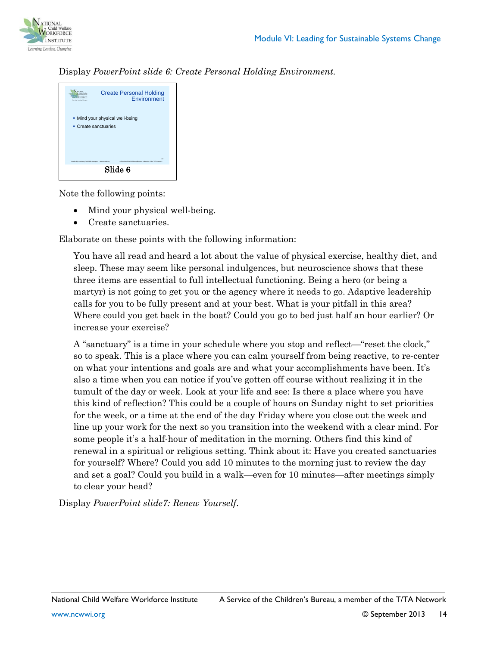

#### Display *PowerPoint slide 6: Create Personal Holding Environment.*

| Lurning Leading Changing                               | <b>Create Personal Holding</b><br>Environment                                     |  |
|--------------------------------------------------------|-----------------------------------------------------------------------------------|--|
|                                                        | . Mind your physical well-being<br>• Create sanctuaries                           |  |
| Leadership Academy for Middle Managers . www.ncwvi.cng | to<br>A Service of the Children's Bureau, a Member of the T/TA Network<br>Slide 6 |  |

Note the following points:

- Mind your physical well-being.
- Create sanctuaries.

Elaborate on these points with the following information:

You have all read and heard a lot about the value of physical exercise, healthy diet, and sleep. These may seem like personal indulgences, but neuroscience shows that these three items are essential to full intellectual functioning. Being a hero (or being a martyr) is not going to get you or the agency where it needs to go. Adaptive leadership calls for you to be fully present and at your best. What is your pitfall in this area? Where could you get back in the boat? Could you go to bed just half an hour earlier? Or increase your exercise?

A "sanctuary" is a time in your schedule where you stop and reflect—"reset the clock," so to speak. This is a place where you can calm yourself from being reactive, to re-center on what your intentions and goals are and what your accomplishments have been. It's also a time when you can notice if you've gotten off course without realizing it in the tumult of the day or week. Look at your life and see: Is there a place where you have this kind of reflection? This could be a couple of hours on Sunday night to set priorities for the week, or a time at the end of the day Friday where you close out the week and line up your work for the next so you transition into the weekend with a clear mind. For some people it's a half-hour of meditation in the morning. Others find this kind of renewal in a spiritual or religious setting. Think about it: Have you created sanctuaries for yourself? Where? Could you add 10 minutes to the morning just to review the day and set a goal? Could you build in a walk—even for 10 minutes—after meetings simply to clear your head?

Display *PowerPoint slide7: Renew Yourself*.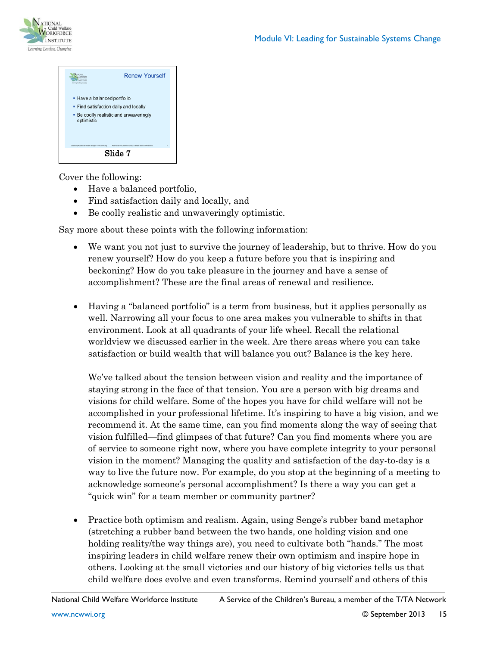



Cover the following:

- Have a balanced portfolio,
- Find satisfaction daily and locally, and
- Be coolly realistic and unwaveringly optimistic.

Say more about these points with the following information:

- We want you not just to survive the journey of leadership, but to thrive. How do you renew yourself? How do you keep a future before you that is inspiring and beckoning? How do you take pleasure in the journey and have a sense of accomplishment? These are the final areas of renewal and resilience.
- Having a "balanced portfolio" is a term from business, but it applies personally as well. Narrowing all your focus to one area makes you vulnerable to shifts in that environment. Look at all quadrants of your life wheel. Recall the relational worldview we discussed earlier in the week. Are there areas where you can take satisfaction or build wealth that will balance you out? Balance is the key here.

We've talked about the tension between vision and reality and the importance of staying strong in the face of that tension. You are a person with big dreams and visions for child welfare. Some of the hopes you have for child welfare will not be accomplished in your professional lifetime. It's inspiring to have a big vision, and we recommend it. At the same time, can you find moments along the way of seeing that vision fulfilled—find glimpses of that future? Can you find moments where you are of service to someone right now, where you have complete integrity to your personal vision in the moment? Managing the quality and satisfaction of the day-to-day is a way to live the future now. For example, do you stop at the beginning of a meeting to acknowledge someone's personal accomplishment? Is there a way you can get a "quick win" for a team member or community partner?

• Practice both optimism and realism. Again, using Senge's rubber band metaphor (stretching a rubber band between the two hands, one holding vision and one holding reality/the way things are), you need to cultivate both "hands." The most inspiring leaders in child welfare renew their own optimism and inspire hope in others. Looking at the small victories and our history of big victories tells us that child welfare does evolve and even transforms. Remind yourself and others of this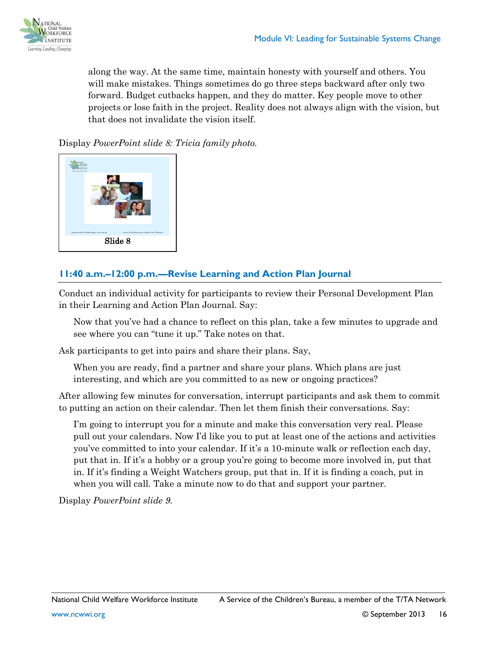

along the way. At the same time, maintain honesty with yourself and others. You will make mistakes. Things sometimes do go three steps backward after only two forward. Budget cutbacks happen, and they do matter. Key people move to other projects or lose faith in the project. Reality does not always align with the vision, but that does not invalidate the vision itself.

Display *PowerPoint slide 8: Tricia family photo.*



### **11:40 a.m.–12:00 p.m.—Revise Learning and Action Plan Journal**

Conduct an individual activity for participants to review their Personal Development Plan in their Learning and Action Plan Journal. Say:

Now that you've had a chance to reflect on this plan, take a few minutes to upgrade and see where you can "tune it up." Take notes on that.

Ask participants to get into pairs and share their plans. Say,

When you are ready, find a partner and share your plans. Which plans are just interesting, and which are you committed to as new or ongoing practices?

After allowing few minutes for conversation, interrupt participants and ask them to commit to putting an action on their calendar. Then let them finish their conversations. Say:

I'm going to interrupt you for a minute and make this conversation very real. Please pull out your calendars. Now I'd like you to put at least one of the actions and activities you've committed to into your calendar. If it's a 10-minute walk or reflection each day, put that in. If it's a hobby or a group you're going to become more involved in, put that in. If it's finding a Weight Watchers group, put that in. If it is finding a coach, put in when you will call. Take a minute now to do that and support your partner.

Display *PowerPoint slide 9.*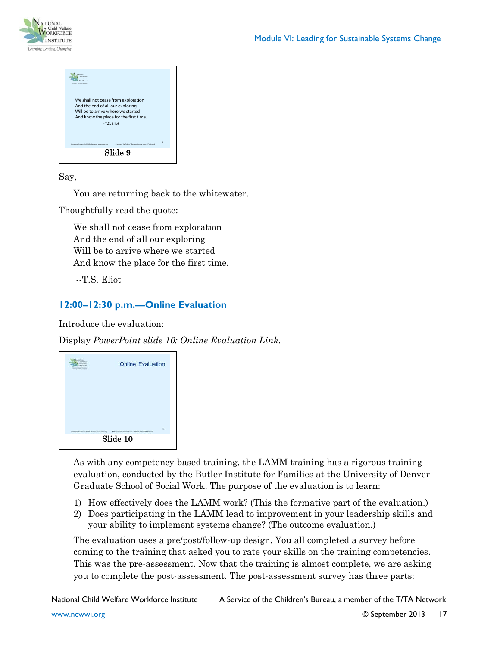



Say,

You are returning back to the whitewater.

Thoughtfully read the quote:

We shall not cease from exploration And the end of all our exploring Will be to arrive where we started And know the place for the first time.

--T.S. Eliot

# **12:00–12:30 p.m.—Online Evaluation**

Introduce the evaluation:

Display *PowerPoint slide 10: Online Evaluation Link.*



As with any competency-based training, the LAMM training has a rigorous training evaluation, conducted by the Butler Institute for Families at the University of Denver Graduate School of Social Work. The purpose of the evaluation is to learn:

- 1) How effectively does the LAMM work? (This the formative part of the evaluation.)
- 2) Does participating in the LAMM lead to improvement in your leadership skills and your ability to implement systems change? (The outcome evaluation.)

The evaluation uses a pre/post/follow-up design. You all completed a survey before coming to the training that asked you to rate your skills on the training competencies. This was the pre-assessment. Now that the training is almost complete, we are asking you to complete the post-assessment. The post-assessment survey has three parts: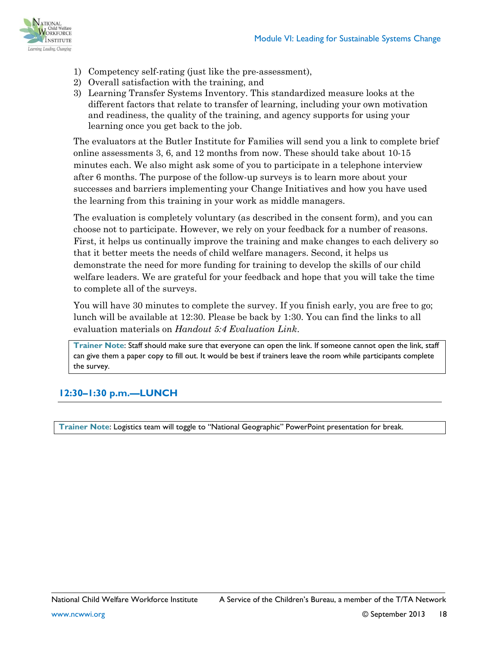

- 1) Competency self-rating (just like the pre-assessment),
- 2) Overall satisfaction with the training, and
- 3) Learning Transfer Systems Inventory. This standardized measure looks at the different factors that relate to transfer of learning, including your own motivation and readiness, the quality of the training, and agency supports for using your learning once you get back to the job.

The evaluators at the Butler Institute for Families will send you a link to complete brief online assessments 3, 6, and 12 months from now. These should take about 10-15 minutes each. We also might ask some of you to participate in a telephone interview after 6 months. The purpose of the follow-up surveys is to learn more about your successes and barriers implementing your Change Initiatives and how you have used the learning from this training in your work as middle managers.

The evaluation is completely voluntary (as described in the consent form), and you can choose not to participate. However, we rely on your feedback for a number of reasons. First, it helps us continually improve the training and make changes to each delivery so that it better meets the needs of child welfare managers. Second, it helps us demonstrate the need for more funding for training to develop the skills of our child welfare leaders. We are grateful for your feedback and hope that you will take the time to complete all of the surveys.

You will have 30 minutes to complete the survey. If you finish early, you are free to go; lunch will be available at 12:30. Please be back by 1:30. You can find the links to all evaluation materials on *Handout 5:4 Evaluation Link*.

**Trainer Note**: Staff should make sure that everyone can open the link. If someone cannot open the link, staff can give them a paper copy to fill out. It would be best if trainers leave the room while participants complete the survey.

# **12:30–1:30 p.m.—LUNCH**

**Trainer Note**: Logistics team will toggle to "National Geographic" PowerPoint presentation for break.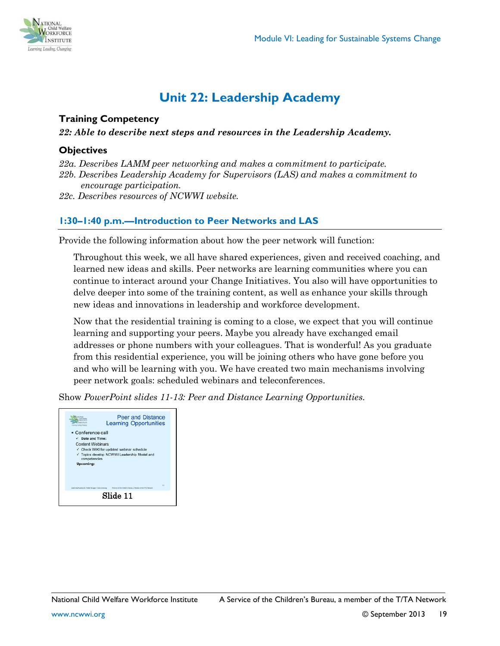

# **Unit 22: Leadership Academy**

#### <span id="page-18-0"></span>**Training Competency**

*22: Able to describe next steps and resources in the Leadership Academy.*

#### **Objectives**

*22a. Describes LAMM peer networking and makes a commitment to participate.*

- *22b. Describes Leadership Academy for Supervisors (LAS) and makes a commitment to encourage participation.*
- *22c. Describes resources of NCWWI website.*

#### **1:30–1:40 p.m.—Introduction to Peer Networks and LAS**

Provide the following information about how the peer network will function:

Throughout this week, we all have shared experiences, given and received coaching, and learned new ideas and skills. Peer networks are learning communities where you can continue to interact around your Change Initiatives. You also will have opportunities to delve deeper into some of the training content, as well as enhance your skills through new ideas and innovations in leadership and workforce development.

Now that the residential training is coming to a close, we expect that you will continue learning and supporting your peers. Maybe you already have exchanged email addresses or phone numbers with your colleagues. That is wonderful! As you graduate from this residential experience, you will be joining others who have gone before you and who will be learning with you. We have created two main mechanisms involving peer network goals: scheduled webinars and teleconferences.

Show *PowerPoint slides 11-13: Peer and Distance Learning Opportunities.* 

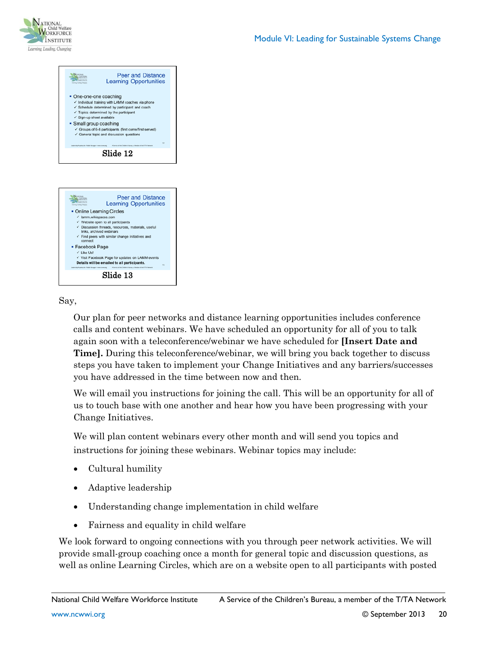





#### Say,

Our plan for peer networks and distance learning opportunities includes conference calls and content webinars. We have scheduled an opportunity for all of you to talk again soon with a teleconference/webinar we have scheduled for **[Insert Date and Time].** During this teleconference/webinar, we will bring you back together to discuss steps you have taken to implement your Change Initiatives and any barriers/successes you have addressed in the time between now and then.

We will email you instructions for joining the call. This will be an opportunity for all of us to touch base with one another and hear how you have been progressing with your Change Initiatives.

We will plan content webinars every other month and will send you topics and instructions for joining these webinars. Webinar topics may include:

- Cultural humility
- Adaptive leadership
- Understanding change implementation in child welfare
- Fairness and equality in child welfare

We look forward to ongoing connections with you through peer network activities. We will provide small-group coaching once a month for general topic and discussion questions, as well as online Learning Circles, which are on a website open to all participants with posted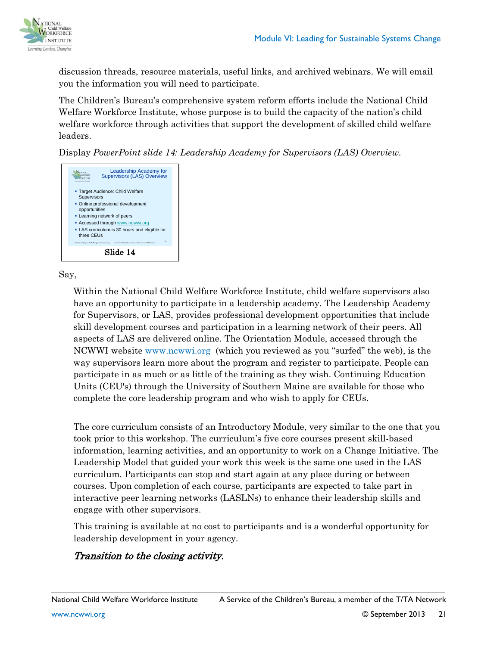

discussion threads, resource materials, useful links, and archived webinars. We will email you the information you will need to participate.

The Children's Bureau's comprehensive system reform efforts include the National Child Welfare Workforce Institute, whose purpose is to build the capacity of the nation's child welfare workforce through activities that support the development of skilled child welfare leaders.

Display *PowerPoint slide 14: Leadership Academy for Supervisors (LAS) Overview.*



Say,

Within the National Child Welfare Workforce Institute, child welfare supervisors also have an opportunity to participate in a leadership academy. The Leadership Academy for Supervisors, or LAS, provides professional development opportunities that include skill development courses and participation in a learning network of their peers. All aspects of LAS are delivered online. The Orientation Module, accessed through the NCWWI website [www.ncwwi.org](http://www.ncwwi.org/) (which you reviewed as you "surfed" the web), is the way supervisors learn more about the program and register to participate. People can participate in as much or as little of the training as they wish. Continuing Education Units (CEU's) through the University of Southern Maine are available for those who complete the core leadership program and who wish to apply for CEUs.

The core curriculum consists of an Introductory Module, very similar to the one that you took prior to this workshop. The curriculum's five core courses present skill-based information, learning activities, and an opportunity to work on a Change Initiative. The Leadership Model that guided your work this week is the same one used in the LAS curriculum. Participants can stop and start again at any place during or between courses. Upon completion of each course, participants are expected to take part in interactive peer learning networks (LASLNs) to enhance their leadership skills and engage with other supervisors.

This training is available at no cost to participants and is a wonderful opportunity for leadership development in your agency.

# Transition to the closing activity.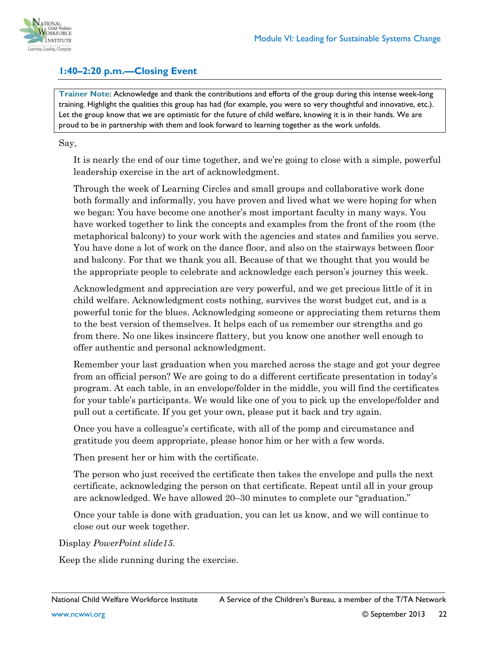

#### **1:40–2:20 p.m.—Closing Event**

**Trainer Note**: Acknowledge and thank the contributions and efforts of the group during this intense week-long training. Highlight the qualities this group has had (for example, you were so very thoughtful and innovative, etc.). Let the group know that we are optimistic for the future of child welfare, knowing it is in their hands. We are proud to be in partnership with them and look forward to learning together as the work unfolds.

Say,

It is nearly the end of our time together, and we're going to close with a simple, powerful leadership exercise in the art of acknowledgment.

Through the week of Learning Circles and small groups and collaborative work done both formally and informally, you have proven and lived what we were hoping for when we began: You have become one another's most important faculty in many ways. You have worked together to link the concepts and examples from the front of the room (the metaphorical balcony) to your work with the agencies and states and families you serve. You have done a lot of work on the dance floor, and also on the stairways between floor and balcony. For that we thank you all. Because of that we thought that you would be the appropriate people to celebrate and acknowledge each person's journey this week.

Acknowledgment and appreciation are very powerful, and we get precious little of it in child welfare. Acknowledgment costs nothing, survives the worst budget cut, and is a powerful tonic for the blues. Acknowledging someone or appreciating them returns them to the best version of themselves. It helps each of us remember our strengths and go from there. No one likes insincere flattery, but you know one another well enough to offer authentic and personal acknowledgment.

Remember your last graduation when you marched across the stage and got your degree from an official person? We are going to do a different certificate presentation in today's program. At each table, in an envelope/folder in the middle, you will find the certificates for your table's participants. We would like one of you to pick up the envelope/folder and pull out a certificate. If you get your own, please put it back and try again.

Once you have a colleague's certificate, with all of the pomp and circumstance and gratitude you deem appropriate, please honor him or her with a few words.

Then present her or him with the certificate.

The person who just received the certificate then takes the envelope and pulls the next certificate, acknowledging the person on that certificate. Repeat until all in your group are acknowledged. We have allowed 20–30 minutes to complete our "graduation."

Once your table is done with graduation, you can let us know, and we will continue to close out our week together.

Display *PowerPoint slide15.*

Keep the slide running during the exercise.